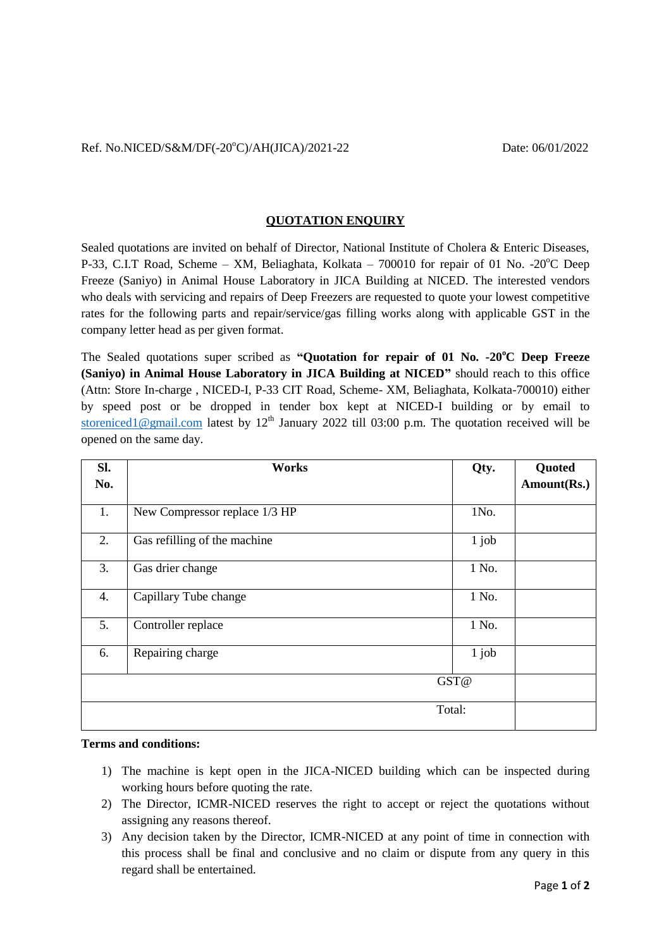## **QUOTATION ENQUIRY**

Sealed quotations are invited on behalf of Director, National Institute of Cholera & Enteric Diseases, P-33, C.I.T Road, Scheme – XM, Beliaghata, Kolkata – 700010 for repair of 01 No. -20 $^{\circ}$ C Deep Freeze (Saniyo) in Animal House Laboratory in JICA Building at NICED. The interested vendors who deals with servicing and repairs of Deep Freezers are requested to quote your lowest competitive rates for the following parts and repair/service/gas filling works along with applicable GST in the company letter head as per given format.

The Sealed quotations super scribed as **"Quotation for repair of 01 No. -20<sup>o</sup>C Deep Freeze (Saniyo) in Animal House Laboratory in JICA Building at NICED"** should reach to this office (Attn: Store In-charge , NICED-I, P-33 CIT Road, Scheme- XM, Beliaghata, Kolkata-700010) either by speed post or be dropped in tender box kept at NICED-I building or by email to [storeniced1@gmail.com](mailto:storeniced1@gmail.com) latest by  $12<sup>th</sup>$  January 2022 till 03:00 p.m. The quotation received will be opened on the same day.

| SI.<br>No. | Works                         | Qty.    | Quoted<br>Amount(Rs.) |
|------------|-------------------------------|---------|-----------------------|
|            |                               |         |                       |
| 1.         | New Compressor replace 1/3 HP | 1No.    |                       |
| 2.         | Gas refilling of the machine  | $1$ job |                       |
| 3.         | Gas drier change              | 1 No.   |                       |
| 4.         | Capillary Tube change         | 1 No.   |                       |
| 5.         | Controller replace            | 1 No.   |                       |
| 6.         | Repairing charge              | $1$ job |                       |
| GST@       |                               |         |                       |
| Total:     |                               |         |                       |

## **Terms and conditions:**

- 1) The machine is kept open in the JICA-NICED building which can be inspected during working hours before quoting the rate.
- 2) The Director, ICMR-NICED reserves the right to accept or reject the quotations without assigning any reasons thereof.
- 3) Any decision taken by the Director, ICMR-NICED at any point of time in connection with this process shall be final and conclusive and no claim or dispute from any query in this regard shall be entertained.